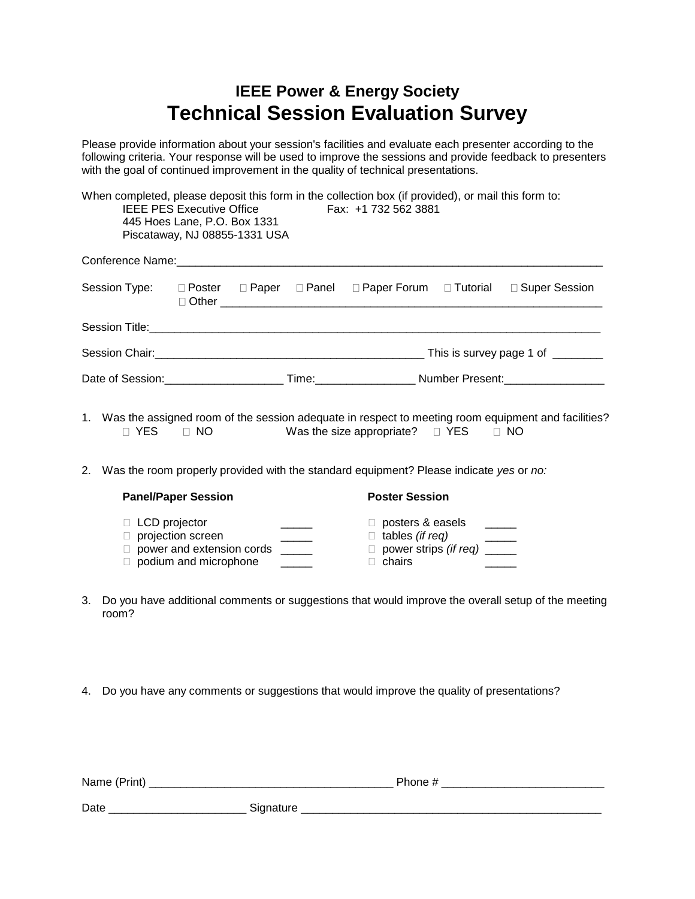## **IEEE Power & Energy Society Technical Session Evaluation Survey**

Please provide information about your session's facilities and evaluate each presenter according to the following criteria. Your response will be used to improve the sessions and provide feedback to presenters with the goal of continued improvement in the quality of technical presentations.

|                                | 445 Hoes Lane, P.O. Box 1331<br>Piscataway, NJ 08855-1331 USA |  | When completed, please deposit this form in the collection box (if provided), or mail this form to:<br>IEEE PES Executive Office Fax: +1 732 562 3881 |  |                                                                                 |
|--------------------------------|---------------------------------------------------------------|--|-------------------------------------------------------------------------------------------------------------------------------------------------------|--|---------------------------------------------------------------------------------|
|                                |                                                               |  |                                                                                                                                                       |  |                                                                                 |
|                                |                                                               |  |                                                                                                                                                       |  | Session Type: □ Poster □ Paper □ Panel □ Paper Forum □ Tutorial □ Super Session |
|                                |                                                               |  |                                                                                                                                                       |  |                                                                                 |
|                                |                                                               |  |                                                                                                                                                       |  | This is survey page 1 of ________                                               |
| Date of Session: New York 1999 |                                                               |  | Time: Number Present:                                                                                                                                 |  |                                                                                 |

- 1. Was the assigned room of the session adequate in respect to meeting room equipment and facilities?  $\Box$  YES  $\Box$  NO Was the size appropriate?  $\Box$  YES  $\Box$  NO
- 2. Was the room properly provided with the standard equipment? Please indicate *yes* or *no:*

| <b>Panel/Paper Session</b>                                                                                           | <b>Poster Session</b>                                                  |  |
|----------------------------------------------------------------------------------------------------------------------|------------------------------------------------------------------------|--|
| $\Box$ LCD projector<br>$\Box$ projection screen<br>$\Box$ power and extension cords<br>$\Box$ podium and microphone | posters & easels<br>tables (if reg)<br>power strips (if req)<br>chairs |  |

- 3. Do you have additional comments or suggestions that would improve the overall setup of the meeting room?
- 4. Do you have any comments or suggestions that would improve the quality of presentations?

| Name (Print) | Phone #   |  |  |
|--------------|-----------|--|--|
| Date         | Signature |  |  |